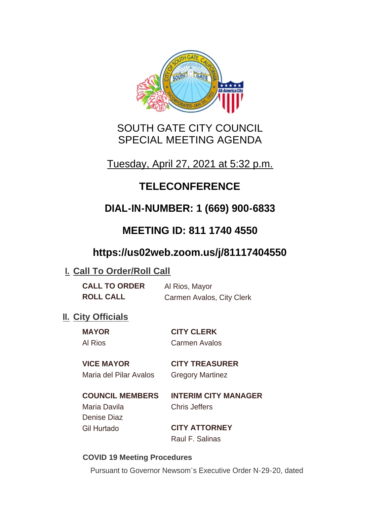

# SOUTH GATE CITY COUNCIL SPECIAL MEETING AGENDA

Tuesday, April 27, 2021 at 5:32 p.m.

# **TELECONFERENCE**

# **DIAL-IN-NUMBER: 1 (669) 900-6833**

# **MEETING ID: 811 1740 4550**

# **https://us02web.zoom.us/j/81117404550**

# **I. Call To Order/Roll Call**

| <b>CALL TO ORDER</b> | Al Rios, Mayor            |
|----------------------|---------------------------|
| <b>ROLL CALL</b>     | Carmen Avalos, City Clerk |

# **II.** City Officials

**MAYOR CITY CLERK** Al Rios Carmen Avalos

### **VICE MAYOR CITY TREASURER**

Maria del Pilar Avalos Gregory Martinez

### **COUNCIL MEMBERS INTERIM CITY MANAGER** Maria Davila Chris Jeffers

Denise Diaz

Gil Hurtado **CITY ATTORNEY** Raul F. Salinas

### **COVID 19 Meeting Procedures**

Pursuant to Governor Newsom's Executive Order N-29-20, dated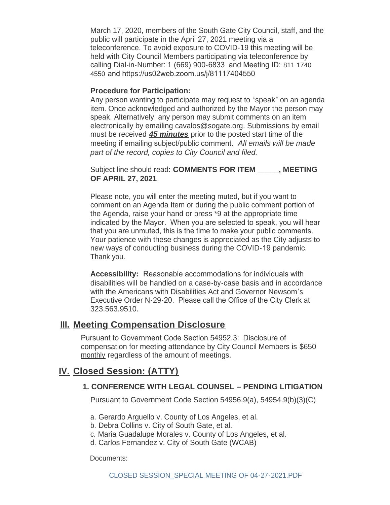March 17, 2020, members of the South Gate City Council, staff, and the public will participate in the April 27, 2021 meeting via a teleconference. To avoid exposure to COVID-19 this meeting will be held with City Council Members participating via teleconference by calling Dial-in-Number: 1 (669) 900-6833 and Meeting ID: 811 1740 4550 and https://us02web.zoom.us/j/81117404550

#### **Procedure for Participation:**

Any person wanting to participate may request to "speak" on an agenda item. Once acknowledged and authorized by the Mayor the person may speak. Alternatively, any person may submit comments on an item electronically by emailing cavalos@sogate.org. Submissions by email must be received *45 minutes* prior to the posted start time of the meeting if emailing subject/public comment. *All emails will be made part of the record, copies to City Council and filed.*

Subject line should read: **COMMENTS FOR ITEM \_\_\_\_\_, MEETING OF APRIL 27, 2021**.

Please note, you will enter the meeting muted, but if you want to comment on an Agenda Item or during the public comment portion of the Agenda, raise your hand or press \*9 at the appropriate time indicated by the Mayor. When you are selected to speak, you will hear that you are unmuted, this is the time to make your public comments. Your patience with these changes is appreciated as the City adjusts to new ways of conducting business during the COVID-19 pandemic. Thank you.

**Accessibility:** Reasonable accommodations for individuals with disabilities will be handled on a case-by-case basis and in accordance with the Americans with Disabilities Act and Governor Newsom's Executive Order N-29-20. Please call the Office of the City Clerk at 323.563.9510.

### **Meeting Compensation Disclosure III.**

Pursuant to Government Code Section 54952.3: Disclosure of compensation for meeting attendance by City Council Members is \$650 monthly regardless of the amount of meetings.

### **Closed Session: (ATTY) IV.**

#### **1. CONFERENCE WITH LEGAL COUNSEL – PENDING LITIGATION**

Pursuant to Government Code Section 54956.9(a), 54954.9(b)(3)(C)

- a. Gerardo Arguello v. County of Los Angeles, et al.
- b. Debra Collins v. City of South Gate, et al.
- c. Maria Guadalupe Morales v. County of Los Angeles, et al.
- d. Carlos Fernandez v. City of South Gate (WCAB)

Documents: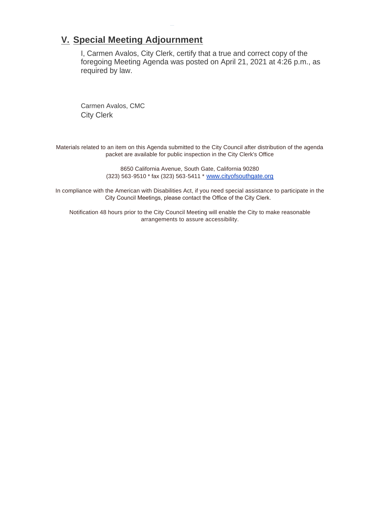## **Special Meeting Adjournment V.**

I, Carmen Avalos, City Clerk, certify that a true and correct copy of the foregoing Meeting Agenda was posted on April 21, 2021 at 4:26 p.m., as required by law.

Carmen Avalos, CMC City Clerk

Materials related to an item on this Agenda submitted to the City Council after distribution of the agenda packet are available for public inspection in the City Clerk's Office

> 8650 California Avenue, South Gate, California 90280 (323) 563-9510 \* fax (323) 563-5411 \* [www.cityofsouthgate.org](http://www.cityofsouthgate.org/)

In compliance with the American with Disabilities Act, if you need special assistance to participate in the City Council Meetings, please contact the Office of the City Clerk.

Notification 48 hours prior to the City Council Meeting will enable the City to make reasonable arrangements to assure accessibility.